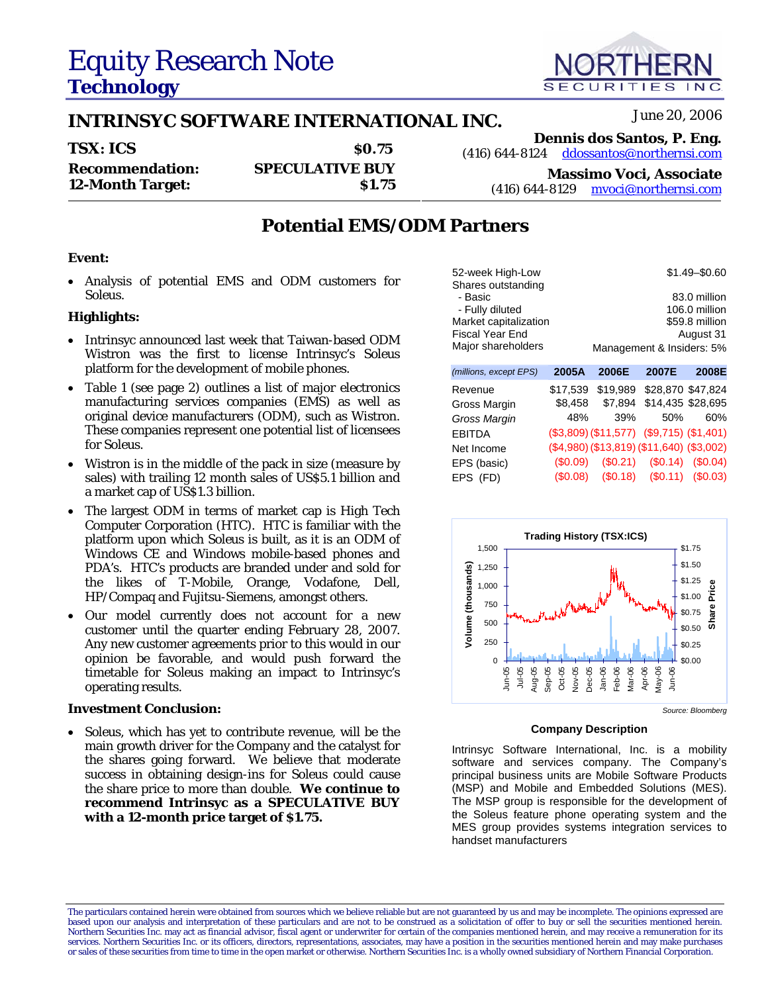# Equity Research Note **Technology**

## **INTRINSYC SOFTWARE INTERNATIONAL INC.** June 20, 2006

**TSX: ICS** \$0.75 **Dennis dos Santos, P. Eng.**<br>\$0.75  $(416)$  644-8124  $\frac{\text{ddossantos@northernsi.com}}{\text{dadsantos@northernsi.com}}$ ddossantos@northernsi.com **Recommendation: SPECULATIVE BUY 12-Month Target: 12-Month Target: 12-Month Target: 12-Month Target: 12-Month Target: 12-Month Target: 12-Month Target: 12-Month Target: 12-Month Target: 12-Month Target: 12-Month Target: 12-Month Tar** mvoci@northernsi.com

### **Potential EMS/ODM Partners**

#### **Event:**

• Analysis of potential EMS and ODM customers for *Soleus*.

### **Highlights:**

- Intrinsyc announced last week that Taiwan-based ODM Wistron was the first to license Intrinsyc's *Soleus* platform for the development of mobile phones.
- Table 1 (see page 2) outlines a list of major electronics manufacturing services companies (EMS) as well as original device manufacturers (ODM), such as Wistron. These companies represent one potential list of licensees for *Soleus*.
- Wistron is in the middle of the pack in size (measure by sales) with trailing 12 month sales of US\$5.1 billion and a market cap of US\$1.3 billion.
- The largest ODM in terms of market cap is High Tech Computer Corporation (HTC). HTC is familiar with the platform upon which *Soleus* is built, as it is an ODM of Windows CE and Windows mobile-based phones and PDA's. HTC's products are branded under and sold for the likes of T-Mobile, Orange, Vodafone, Dell, HP/Compaq and Fujitsu-Siemens, amongst others.
- Our model currently does not account for a new customer until the quarter ending February 28, 2007. Any new customer agreements prior to this would in our opinion be favorable, and would push forward the timetable for *Soleus* making an impact to Intrinsyc's operating results.

#### **Investment Conclusion:**

• *Soleus*, which has yet to contribute revenue, will be the main growth driver for the Company and the catalyst for the shares going forward. We believe that moderate success in obtaining design-ins for *Soleus* could cause the share price to more than double. **We continue to recommend Intrinsyc as a SPECULATIVE BUY with a 12-month price target of \$1.75.**

The particulars contained herein were obtained from sources which we believe reliable but are not guaranteed by us and may be incomplete. The opinions expressed are based upon our analysis and interpretation of these particulars and are not to be construed as a solicitation of offer to buy or sell the securities mentioned herein.<br>Northern Securities Inc. may act as financial advisor, services. Northern Securities Inc. or its officers, directors, representations, associates, may have a position in the securities mentioned herein and may make purchases or sales of these securities from time to time in the open market or otherwise. Northern Securities Inc. is a wholly owned subsidiary of Northern Financial Corporation.

| 52-week High-Low       |       | $$1.49 - $0.60$                           |       |               |
|------------------------|-------|-------------------------------------------|-------|---------------|
| Shares outstanding     |       |                                           |       |               |
| - Basic                |       |                                           |       | 83.0 million  |
| - Fully diluted        |       |                                           |       | 106.0 million |
| Market capitalization  |       | \$59.8 million                            |       |               |
| Fiscal Year End        |       | August 31                                 |       |               |
| Major shareholders     |       | Management & Insiders: 5%                 |       |               |
| (millions, except EPS) | 2005A | 2006E                                     | 2007E | 2008E         |
| <b>Dovonuo</b>         |       | <b>¢17.530 \$10.090 \$29.970 \$47.924</b> |       |               |

| Revenue      | \$17,539 |     | \$19,989 \$28,870 \$47,824                |     |
|--------------|----------|-----|-------------------------------------------|-----|
| Gross Margin |          |     | \$8,458 \$7,894 \$14,435 \$28,695         |     |
| Gross Margin | 48%      | 39% | 50%                                       | 60% |
| EBITDA       |          |     | (\$3,809) (\$11,577) (\$9,715) (\$1,401)  |     |
| Net Income   |          |     | (\$4,980) (\$13,819) (\$11,640) (\$3,002) |     |
| EPS (basic)  |          |     | $($0.09)$ $($0.21)$ $($0.14)$ $($0.04)$   |     |
| EPS (FD)     |          |     | $($0.08)$ $($0.18)$ $($0.11)$ $($0.03)$   |     |
|              |          |     |                                           |     |



#### **Company Description**

Intrinsyc Software International, Inc. is a mobility software and services company. The Company's principal business units are Mobile Software Products (MSP) and Mobile and Embedded Solutions (MES). The MSP group is responsible for the development of the Soleus feature phone operating system and the MES group provides systems integration services to handset manufacturers

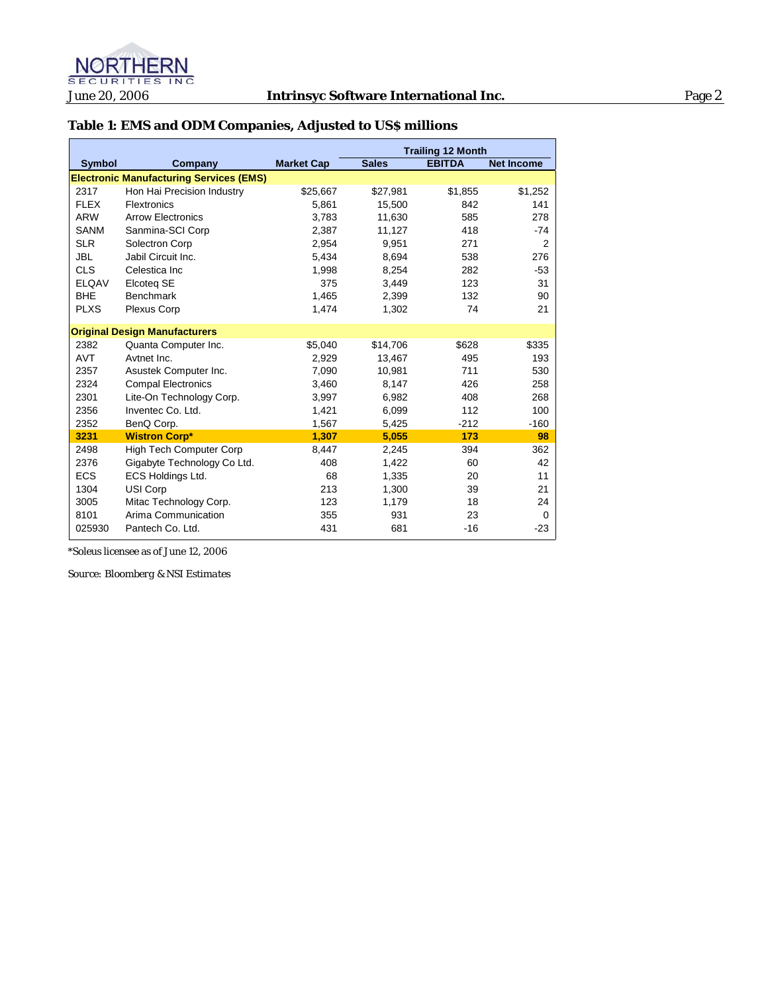

### **Table 1: EMS and ODM Companies, Adjusted to US\$ millions**

|               |                                                |                   | <b>Trailing 12 Month</b> |               |                   |
|---------------|------------------------------------------------|-------------------|--------------------------|---------------|-------------------|
| <b>Symbol</b> | Company                                        | <b>Market Cap</b> | <b>Sales</b>             | <b>EBITDA</b> | <b>Net Income</b> |
|               | <b>Electronic Manufacturing Services (EMS)</b> |                   |                          |               |                   |
| 2317          | Hon Hai Precision Industry                     | \$25,667          | \$27,981                 | \$1,855       | \$1,252           |
| <b>FLEX</b>   | <b>Flextronics</b>                             | 5.861             | 15.500                   | 842           | 141               |
| <b>ARW</b>    | <b>Arrow Electronics</b>                       | 3,783             | 11,630                   | 585           | 278               |
| <b>SANM</b>   | Sanmina-SCI Corp                               | 2,387             | 11,127                   | 418           | $-74$             |
| <b>SLR</b>    | Solectron Corp                                 | 2.954             | 9,951                    | 271           | 2                 |
| <b>JBL</b>    | Jabil Circuit Inc.                             | 5,434             | 8,694                    | 538           | 276               |
| <b>CLS</b>    | Celestica Inc.                                 | 1,998             | 8.254                    | 282           | $-53$             |
| <b>ELQAV</b>  | Elcoteg SE                                     | 375               | 3,449                    | 123           | 31                |
| <b>BHE</b>    | <b>Benchmark</b>                               | 1,465             | 2,399                    | 132           | 90                |
| <b>PLXS</b>   | <b>Plexus Corp</b>                             | 1,474             | 1,302                    | 74            | 21                |
|               | <b>Original Design Manufacturers</b>           |                   |                          |               |                   |
| 2382          | Quanta Computer Inc.                           | \$5,040           | \$14,706                 | \$628         | \$335             |
| <b>AVT</b>    | Avtnet Inc.                                    | 2,929             | 13,467                   | 495           | 193               |
| 2357          | Asustek Computer Inc.                          | 7,090             | 10,981                   | 711           | 530               |
| 2324          | <b>Compal Electronics</b>                      | 3.460             | 8.147                    | 426           | 258               |
| 2301          | Lite-On Technology Corp.                       | 3,997             | 6,982                    | 408           | 268               |
| 2356          | Inventec Co. Ltd.                              | 1,421             | 6,099                    | 112           | 100               |
| 2352          | BenQ Corp.                                     | 1,567             | 5,425                    | $-212$        | $-160$            |
| 3231          | <b>Wistron Corp*</b>                           | 1.307             | 5.055                    | 173           | 98                |
| 2498          | <b>High Tech Computer Corp</b>                 | 8,447             | 2,245                    | 394           | 362               |
| 2376          | Gigabyte Technology Co Ltd.                    | 408               | 1,422                    | 60            | 42                |
| <b>ECS</b>    | ECS Holdings Ltd.                              | 68                | 1,335                    | 20            | 11                |
| 1304          | USI Corp                                       | 213               | 1,300                    | 39            | 21                |
| 3005          | Mitac Technology Corp.                         | 123               | 1,179                    | 18            | 24                |
| 8101          | Arima Communication                            | 355               | 931                      | 23            | $\Omega$          |
| 025930        | Pantech Co. Ltd.                               | 431               | 681                      | $-16$         | $-23$             |

*\*Soleus* licensee as of June 12, 2006

*Source: Bloomberg & NSI Estimates*